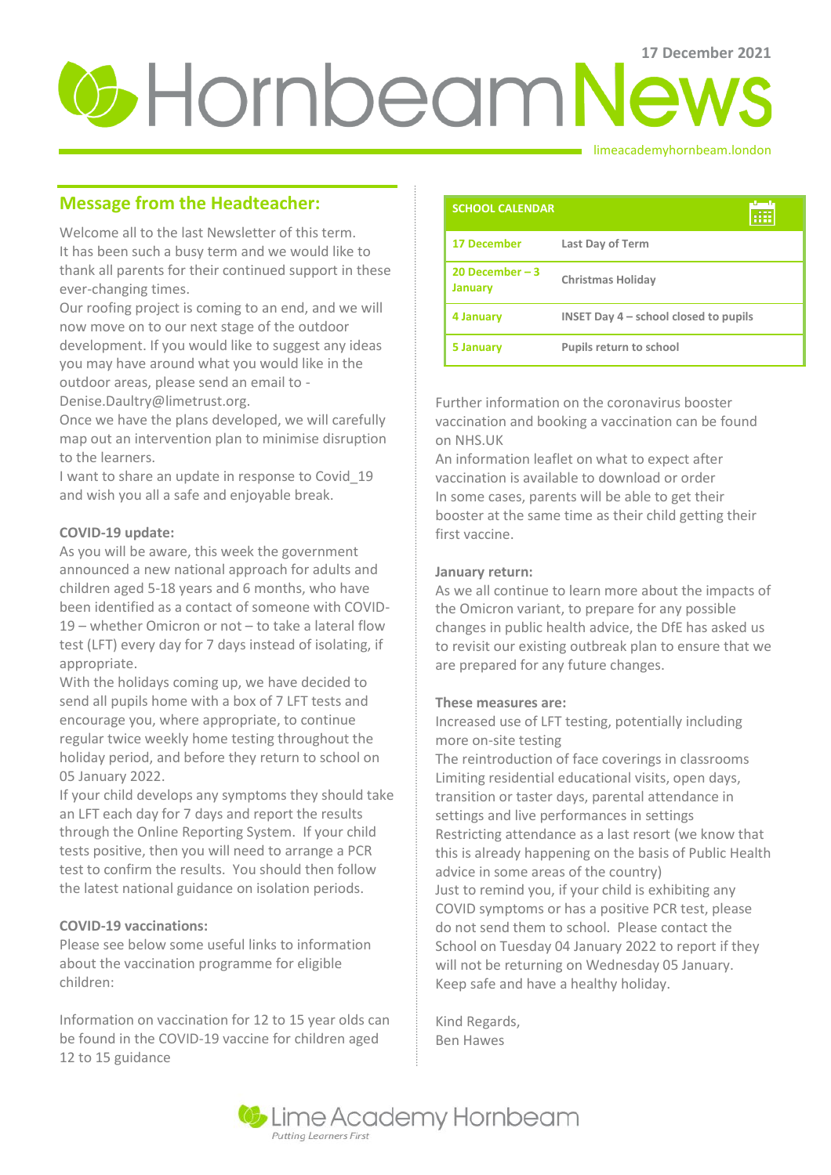# **U**-Hornbeam News

limeacademyhornbeam.london

# **Message from the Headteacher:**

Welcome all to the last Newsletter of this term. It has been such a busy term and we would like to thank all parents for their continued support in these ever-changing times.

Our roofing project is coming to an end, and we will now move on to our next stage of the outdoor development. If you would like to suggest any ideas you may have around what you would like in the outdoor areas, please send an email to -

Denise.Daultry@limetrust.org.

Once we have the plans developed, we will carefully map out an intervention plan to minimise disruption to the learners.

I want to share an update in response to Covid\_19 and wish you all a safe and enjoyable break.

## **COVID-19 update:**

As you will be aware, this week the government announced a new national approach for adults and children aged 5-18 years and 6 months, who have been identified as a contact of someone with COVID-19 – whether Omicron or not – to take a lateral flow test (LFT) every day for 7 days instead of isolating, if appropriate.

With the holidays coming up, we have decided to send all pupils home with a box of 7 LFT tests and encourage you, where appropriate, to continue regular twice weekly home testing throughout the holiday period, and before they return to school on 05 January 2022.

If your child develops any symptoms they should take an LFT each day for 7 days and report the results through the Online Reporting System. If your child tests positive, then you will need to arrange a PCR test to confirm the results. You should then follow the latest national guidance on isolation periods.

## **COVID-19 vaccinations:**

Please see below some useful links to information about the vaccination programme for eligible children:

Information on vaccination for 12 to 15 year olds can be found in the COVID-19 vaccine for children aged 12 to 15 guidance

| <b>SCHOOL CALENDAR</b>             |                                         |
|------------------------------------|-----------------------------------------|
| <b>17 December</b>                 | <b>Last Day of Term</b>                 |
| 20 December $-3$<br><b>January</b> | <b>Christmas Holiday</b>                |
| 4 January                          | INSET Day $4$ – school closed to pupils |
| 5 January                          | <b>Pupils return to school</b>          |

Further information on the coronavirus booster vaccination and booking a vaccination can be found on NHS.UK

An information leaflet on what to expect after vaccination is available to download or order In some cases, parents will be able to get their booster at the same time as their child getting their first vaccine.

## **January return:**

As we all continue to learn more about the impacts of the Omicron variant, to prepare for any possible changes in public health advice, the DfE has asked us to revisit our existing outbreak plan to ensure that we are prepared for any future changes.

#### **These measures are:**

Increased use of LFT testing, potentially including more on-site testing

The reintroduction of face coverings in classrooms Limiting residential educational visits, open days, transition or taster days, parental attendance in settings and live performances in settings Restricting attendance as a last resort (we know that this is already happening on the basis of Public Health advice in some areas of the country) Just to remind you, if your child is exhibiting any COVID symptoms or has a positive PCR test, please do not send them to school. Please contact the School on Tuesday 04 January 2022 to report if they will not be returning on Wednesday 05 January. Keep safe and have a healthy holiday.

Kind Regards, Ben Hawes

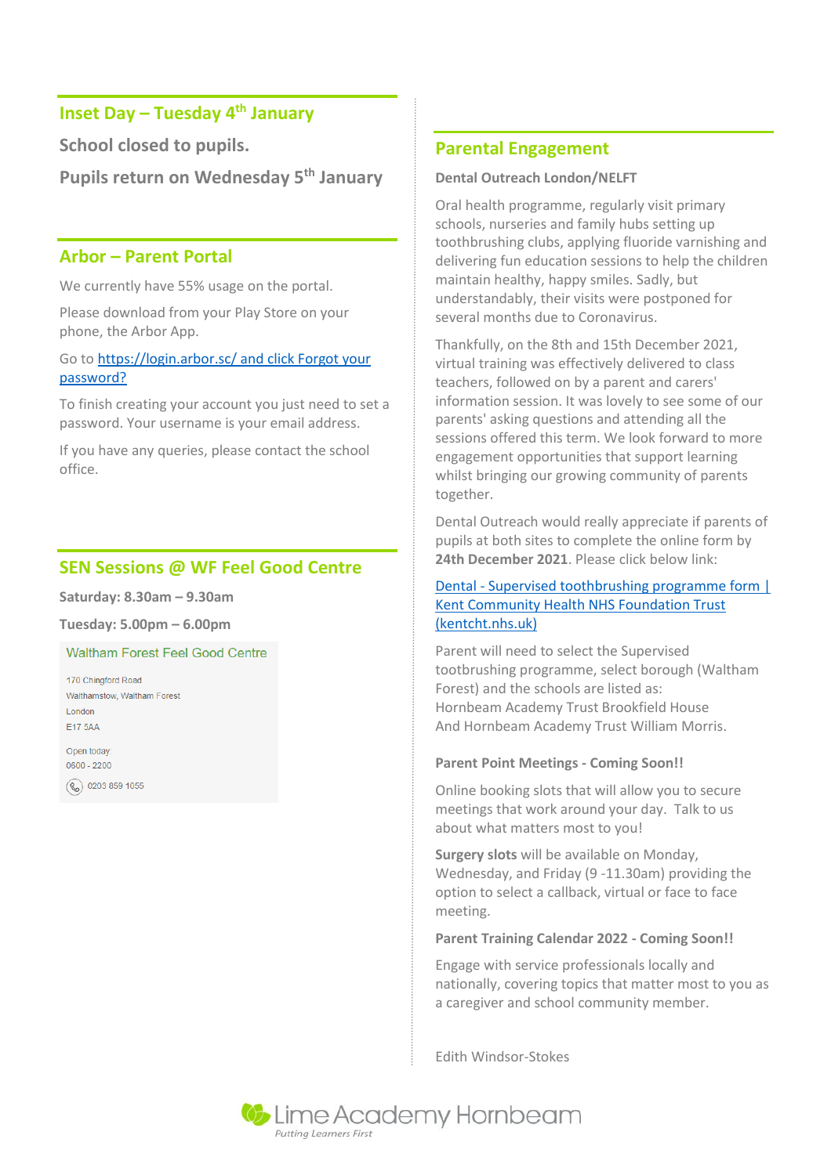# **Inset Day – Tuesday 4 th January**

**School closed to pupils.** 

**Pupils return on Wednesday 5 th January**

## **Arbor – Parent Portal**

We currently have 55% usage on the portal.

Please download from your Play Store on your phone, the Arbor App.

Go t[o https://login.arbor.sc/ and click Forgot your](https://login.arbor.sc/%20and%20click%20Forgot%20your%20password?)  [password?](https://login.arbor.sc/%20and%20click%20Forgot%20your%20password?)

To finish creating your account you just need to set a password. Your username is your email address.

If you have any queries, please contact the school office.

# **SEN Sessions @ WF Feel Good Centre**

**Saturday: 8.30am – 9.30am**

**Tuesday: 5.00pm – 6.00pm**

**Waltham Forest Feel Good Centre** 

170 Chingford Road Walthamstow, Waltham Forest London E17 5AA

Open today  $0600 - 2200$ 

(C) 0203 859 1055

## **Parental Engagement**

#### **Dental Outreach London/NELFT**

Oral health programme, regularly visit primary schools, nurseries and family hubs setting up toothbrushing clubs, applying fluoride varnishing and delivering fun education sessions to help the children maintain healthy, happy smiles. Sadly, but understandably, their visits were postponed for several months due to Coronavirus.

Thankfully, on the 8th and 15th December 2021, virtual training was effectively delivered to class teachers, followed on by a parent and carers' information session. It was lovely to see some of our parents' asking questions and attending all the sessions offered this term. We look forward to more engagement opportunities that support learning whilst bringing our growing community of parents together.

Dental Outreach would really appreciate if parents of pupils at both sites to complete the online form by **24th December 2021**. Please click below link:

#### Dental - [Supervised toothbrushing programme form |](https://www.kentcht.nhs.uk/forms/dental-supervised-toothbrushing-programme-form/)  [Kent Community Health NHS Foundation Trust](https://www.kentcht.nhs.uk/forms/dental-supervised-toothbrushing-programme-form/)  [\(kentcht.nhs.uk\)](https://www.kentcht.nhs.uk/forms/dental-supervised-toothbrushing-programme-form/)

Parent will need to select the Supervised tootbrushing programme, select borough (Waltham Forest) and the schools are listed as: Hornbeam Academy Trust Brookfield House And Hornbeam Academy Trust William Morris.

#### **Parent Point Meetings - Coming Soon!!**

Online booking slots that will allow you to secure meetings that work around your day. Talk to us about what matters most to you!

**Surgery slots** will be available on Monday, Wednesday, and Friday (9 -11.30am) providing the option to select a callback, virtual or face to face meeting.

#### **Parent Training Calendar 2022 - Coming Soon!!**

Engage with service professionals locally and nationally, covering topics that matter most to you as a caregiver and school community member.

Edith Windsor-Stokes